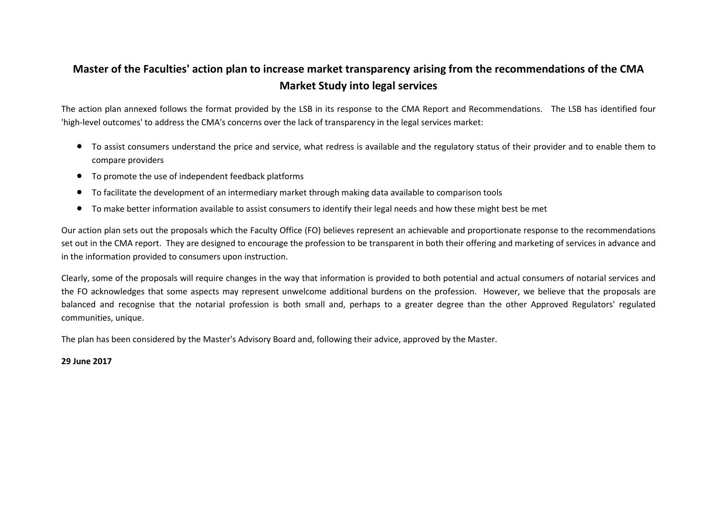## **Master of the Faculties' action plan to increase market transparency arising from the recommendations of the CMA Market Study into legal services**

The action plan annexed follows the format provided by the LSB in its response to the CMA Report and Recommendations. The LSB has identified four 'high-level outcomes' to address the CMA's concerns over the lack of transparency in the legal services market:

- To assist consumers understand the price and service, what redress is available and the regulatory status of their provider and to enable them to compare providers
- To promote the use of independent feedback platforms
- To facilitate the development of an intermediary market through making data available to comparison tools
- To make better information available to assist consumers to identify their legal needs and how these might best be met

Our action plan sets out the proposals which the Faculty Office (FO) believes represent an achievable and proportionate response to the recommendations set out in the CMA report. They are designed to encourage the profession to be transparent in both their offering and marketing of services in advance and in the information provided to consumers upon instruction.

Clearly, some of the proposals will require changes in the way that information is provided to both potential and actual consumers of notarial services and the FO acknowledges that some aspects may represent unwelcome additional burdens on the profession. However, we believe that the proposals are balanced and recognise that the notarial profession is both small and, perhaps to a greater degree than the other Approved Regulators' regulated communities, unique.

The plan has been considered by the Master's Advisory Board and, following their advice, approved by the Master.

## **29 June 2017**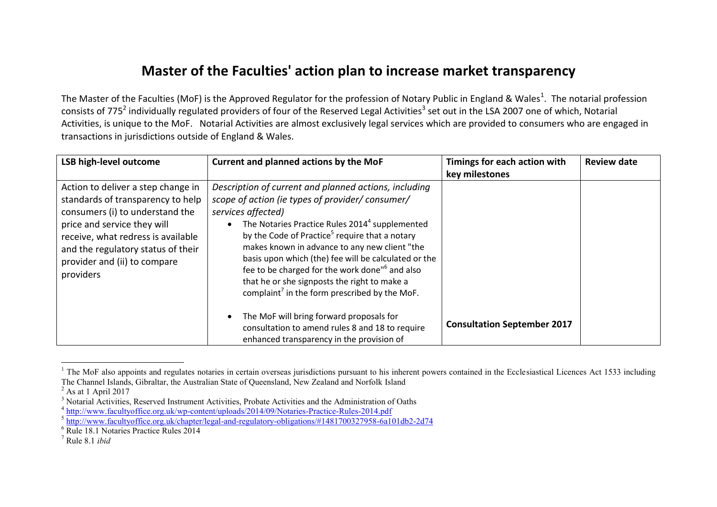## **Master of the Faculties' action plan to increase market transparency**

The Master of the Faculties (MoF) is the Approved Regulator for the profession of Notary Public in England & Wales<sup>1</sup>. The notarial profession consists of 775<sup>2</sup> individually regulated providers of four of the Reserved Legal Activities<sup>3</sup> set out in the LSA 2007 one of which, Notarial Activities, is unique to the MoF. Notarial Activities are almost exclusively legal services which are provided to consumers who are engaged in transactions in jurisdictions outside of England & Wales.

| <b>LSB high-level outcome</b>                                                                                                                                                                                                                                      | Current and planned actions by the MoF                                                                                                                                                                                                                                                                                                                                                                                                                                                                                                         | Timings for each action with       | <b>Review date</b> |
|--------------------------------------------------------------------------------------------------------------------------------------------------------------------------------------------------------------------------------------------------------------------|------------------------------------------------------------------------------------------------------------------------------------------------------------------------------------------------------------------------------------------------------------------------------------------------------------------------------------------------------------------------------------------------------------------------------------------------------------------------------------------------------------------------------------------------|------------------------------------|--------------------|
|                                                                                                                                                                                                                                                                    |                                                                                                                                                                                                                                                                                                                                                                                                                                                                                                                                                | key milestones                     |                    |
| Action to deliver a step change in<br>standards of transparency to help<br>consumers (i) to understand the<br>price and service they will<br>receive, what redress is available<br>and the regulatory status of their<br>provider and (ii) to compare<br>providers | Description of current and planned actions, including<br>scope of action (ie types of provider/consumer/<br>services affected)<br>The Notaries Practice Rules 2014 <sup>4</sup> supplemented<br>by the Code of Practice <sup>5</sup> require that a notary<br>makes known in advance to any new client "the<br>basis upon which (the) fee will be calculated or the<br>fee to be charged for the work done" <sup>6</sup> and also<br>that he or she signposts the right to make a<br>complaint <sup>7</sup> in the form prescribed by the MoF. |                                    |                    |
|                                                                                                                                                                                                                                                                    | The MoF will bring forward proposals for<br>$\bullet$<br>consultation to amend rules 8 and 18 to require<br>enhanced transparency in the provision of                                                                                                                                                                                                                                                                                                                                                                                          | <b>Consultation September 2017</b> |                    |

 $1$  The MoF also appoints and regulates notaries in certain overseas jurisdictions pursuant to his inherent powers contained in the Ecclesiastical Licences Act 1533 including The Channel Islands, Gibraltar, the Australian State of Queensland, New Zealand and Norfolk Island

 $\overline{a}$ 

 $<sup>2</sup>$  As at 1 April 2017</sup>

<sup>&</sup>lt;sup>3</sup> Notarial Activities, Reserved Instrument Activities, Probate Activities and the Administration of Oaths

<sup>&</sup>lt;sup>4</sup> <http://www.facultyoffice.org.uk/wp-content/uploads/2014/09/Notaries-Practice-Rules-2014.pdf>

<sup>&</sup>lt;sup>5</sup> <http://www.facultyoffice.org.uk/chapter/legal-and-regulatory-obligations/#1481700327958-6a101db2-2d74>

<sup>6</sup> Rule 18.1 Notaries Practice Rules 2014

<sup>7</sup> Rule 8.1 *ibid*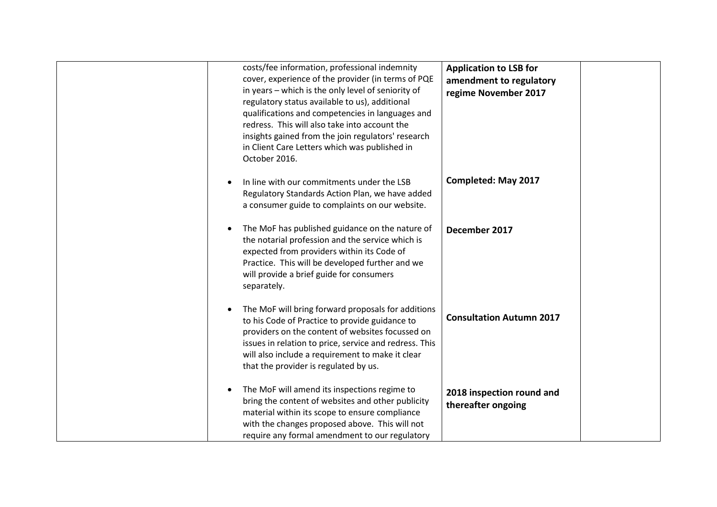| costs/fee information, professional indemnity<br>cover, experience of the provider (in terms of PQE<br>in years - which is the only level of seniority of<br>regulatory status available to us), additional<br>qualifications and competencies in languages and<br>redress. This will also take into account the<br>insights gained from the join regulators' research<br>in Client Care Letters which was published in<br>October 2016. | <b>Application to LSB for</b><br>amendment to regulatory<br>regime November 2017 |
|------------------------------------------------------------------------------------------------------------------------------------------------------------------------------------------------------------------------------------------------------------------------------------------------------------------------------------------------------------------------------------------------------------------------------------------|----------------------------------------------------------------------------------|
| In line with our commitments under the LSB<br>Regulatory Standards Action Plan, we have added<br>a consumer guide to complaints on our website.                                                                                                                                                                                                                                                                                          | <b>Completed: May 2017</b>                                                       |
| The MoF has published guidance on the nature of<br>the notarial profession and the service which is<br>expected from providers within its Code of<br>Practice. This will be developed further and we<br>will provide a brief guide for consumers<br>separately.                                                                                                                                                                          | December 2017                                                                    |
| The MoF will bring forward proposals for additions<br>to his Code of Practice to provide guidance to<br>providers on the content of websites focussed on<br>issues in relation to price, service and redress. This<br>will also include a requirement to make it clear<br>that the provider is regulated by us.                                                                                                                          | <b>Consultation Autumn 2017</b>                                                  |
| The MoF will amend its inspections regime to<br>$\bullet$<br>bring the content of websites and other publicity<br>material within its scope to ensure compliance<br>with the changes proposed above. This will not<br>require any formal amendment to our regulatory                                                                                                                                                                     | 2018 inspection round and<br>thereafter ongoing                                  |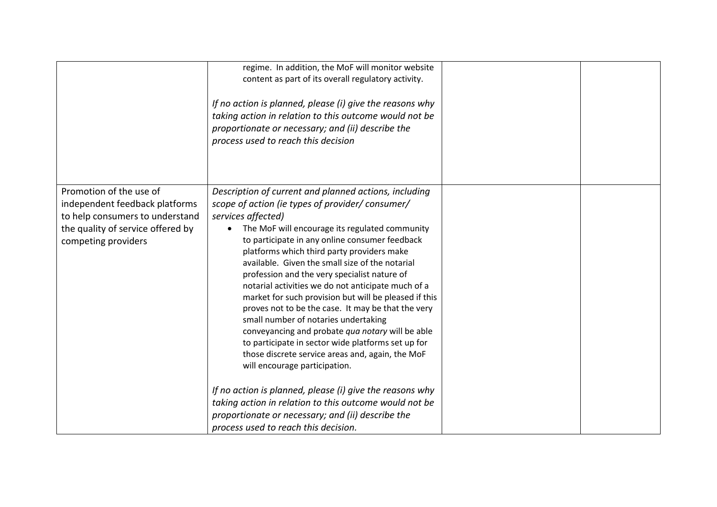|                                                                                                                                                          | regime. In addition, the MoF will monitor website<br>content as part of its overall regulatory activity.<br>If no action is planned, please (i) give the reasons why<br>taking action in relation to this outcome would not be<br>proportionate or necessary; and (ii) describe the<br>process used to reach this decision                                                                                                                                                                                                                                                                                                                                                                                                                                                                                                                                               |  |
|----------------------------------------------------------------------------------------------------------------------------------------------------------|--------------------------------------------------------------------------------------------------------------------------------------------------------------------------------------------------------------------------------------------------------------------------------------------------------------------------------------------------------------------------------------------------------------------------------------------------------------------------------------------------------------------------------------------------------------------------------------------------------------------------------------------------------------------------------------------------------------------------------------------------------------------------------------------------------------------------------------------------------------------------|--|
| Promotion of the use of<br>independent feedback platforms<br>to help consumers to understand<br>the quality of service offered by<br>competing providers | Description of current and planned actions, including<br>scope of action (ie types of provider/consumer/<br>services affected)<br>The MoF will encourage its regulated community<br>$\bullet$<br>to participate in any online consumer feedback<br>platforms which third party providers make<br>available. Given the small size of the notarial<br>profession and the very specialist nature of<br>notarial activities we do not anticipate much of a<br>market for such provision but will be pleased if this<br>proves not to be the case. It may be that the very<br>small number of notaries undertaking<br>conveyancing and probate qua notary will be able<br>to participate in sector wide platforms set up for<br>those discrete service areas and, again, the MoF<br>will encourage participation.<br>If no action is planned, please (i) give the reasons why |  |
|                                                                                                                                                          | taking action in relation to this outcome would not be<br>proportionate or necessary; and (ii) describe the<br>process used to reach this decision.                                                                                                                                                                                                                                                                                                                                                                                                                                                                                                                                                                                                                                                                                                                      |  |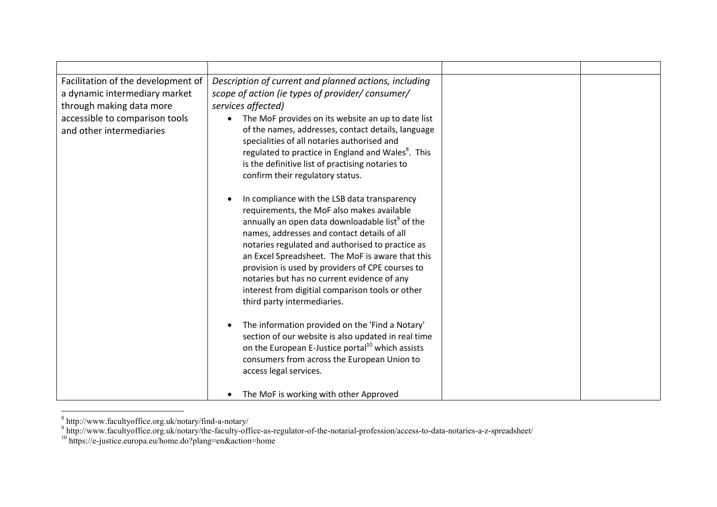| Facilitation of the development of<br>a dynamic intermediary market<br>through making data more<br>accessible to comparison tools<br>and other intermediaries | Description of current and planned actions, including<br>scope of action (ie types of provider/ consumer/<br>services affected)<br>The MoF provides on its website an up to date list<br>$\bullet$<br>of the names, addresses, contact details, language<br>specialities of all notaries authorised and<br>regulated to practice in England and Wales <sup>8</sup> . This<br>is the definitive list of practising notaries to<br>confirm their regulatory status.<br>In compliance with the LSB data transparency<br>$\bullet$<br>requirements, the MoF also makes available<br>annually an open data downloadable list <sup>9</sup> of the<br>names, addresses and contact details of all |  |
|---------------------------------------------------------------------------------------------------------------------------------------------------------------|--------------------------------------------------------------------------------------------------------------------------------------------------------------------------------------------------------------------------------------------------------------------------------------------------------------------------------------------------------------------------------------------------------------------------------------------------------------------------------------------------------------------------------------------------------------------------------------------------------------------------------------------------------------------------------------------|--|
|                                                                                                                                                               | notaries regulated and authorised to practice as<br>an Excel Spreadsheet. The MoF is aware that this<br>provision is used by providers of CPE courses to<br>notaries but has no current evidence of any<br>interest from digitial comparison tools or other<br>third party intermediaries.<br>The information provided on the 'Find a Notary'<br>$\bullet$<br>section of our website is also updated in real time<br>on the European E-Justice portal <sup>10</sup> which assists<br>consumers from across the European Union to<br>access legal services.<br>The MoF is working with other Approved                                                                                       |  |

<sup>&</sup>lt;sup>8</sup> http://www.facultyoffice.org.uk/notary/find-a-notary/<br><sup>9</sup> http://www.facultyoffice.org.uk/notary/the-faculty-office-as-regulator-of-the-notarial-profession/access-to-data-notaries-a-z-spreadsheet/

<sup>10</sup> https://e-justice.europa.eu/home.do?plang=en&action=home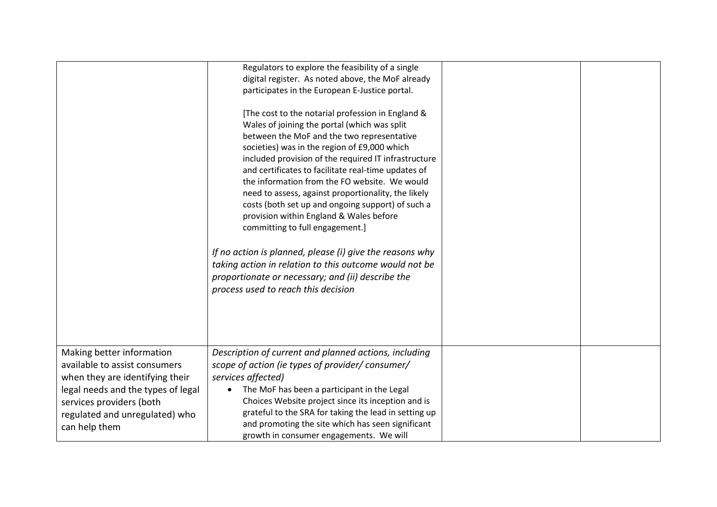|                                                                                                                                                                                                                    | Regulators to explore the feasibility of a single<br>digital register. As noted above, the MoF already<br>participates in the European E-Justice portal.                                                                                                                                                                                                                                                                                                                                                                                                                                                                                                                                                                                                                    |  |
|--------------------------------------------------------------------------------------------------------------------------------------------------------------------------------------------------------------------|-----------------------------------------------------------------------------------------------------------------------------------------------------------------------------------------------------------------------------------------------------------------------------------------------------------------------------------------------------------------------------------------------------------------------------------------------------------------------------------------------------------------------------------------------------------------------------------------------------------------------------------------------------------------------------------------------------------------------------------------------------------------------------|--|
|                                                                                                                                                                                                                    | [The cost to the notarial profession in England &<br>Wales of joining the portal (which was split<br>between the MoF and the two representative<br>societies) was in the region of £9,000 which<br>included provision of the required IT infrastructure<br>and certificates to facilitate real-time updates of<br>the information from the FO website. We would<br>need to assess, against proportionality, the likely<br>costs (both set up and ongoing support) of such a<br>provision within England & Wales before<br>committing to full engagement.]<br>If no action is planned, please (i) give the reasons why<br>taking action in relation to this outcome would not be<br>proportionate or necessary; and (ii) describe the<br>process used to reach this decision |  |
| Making better information<br>available to assist consumers<br>when they are identifying their<br>legal needs and the types of legal<br>services providers (both<br>regulated and unregulated) who<br>can help them | Description of current and planned actions, including<br>scope of action (ie types of provider/consumer/<br>services affected)<br>The MoF has been a participant in the Legal<br>Choices Website project since its inception and is<br>grateful to the SRA for taking the lead in setting up<br>and promoting the site which has seen significant<br>growth in consumer engagements. We will                                                                                                                                                                                                                                                                                                                                                                                |  |